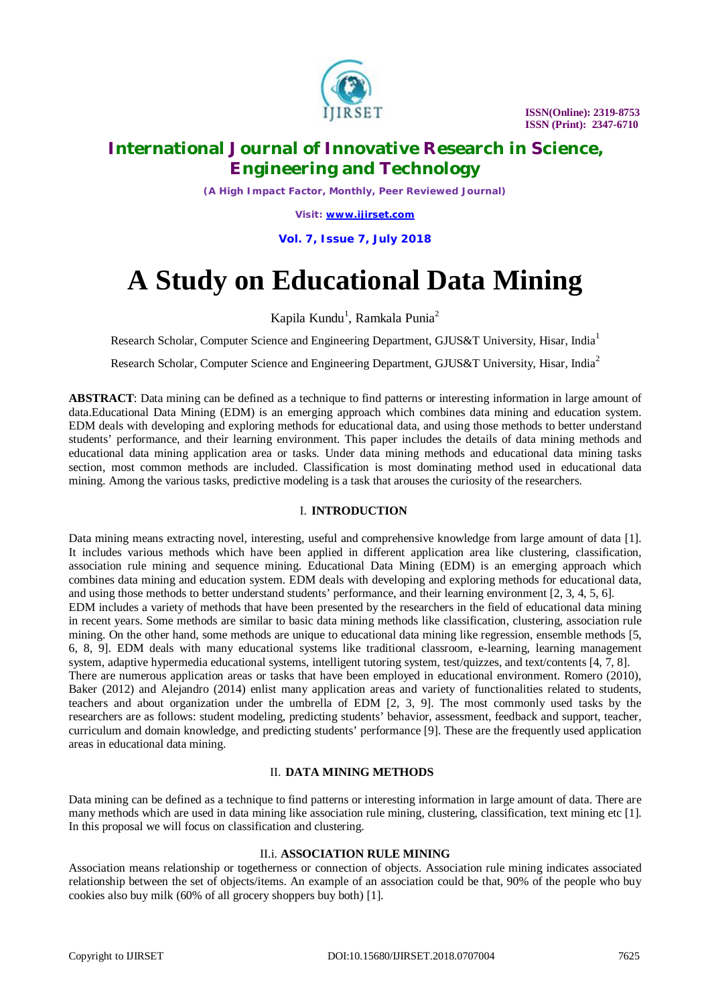

 **ISSN(Online): 2319-8753 ISSN (Print): 2347-6710**

# **International Journal of Innovative Research in Science, Engineering and Technology**

*(A High Impact Factor, Monthly, Peer Reviewed Journal)*

*Visit: [www.ijirset.com](http://www.ijirset.com)*

**Vol. 7, Issue 7, July 2018**

# **A Study on Educational Data Mining**

Kapila Kundu<sup>1</sup>, Ramkala Punia<sup>2</sup>

Research Scholar, Computer Science and Engineering Department, GJUS&T University, Hisar, India<sup>1</sup>

Research Scholar, Computer Science and Engineering Department, GJUS&T University, Hisar, India<sup>2</sup>

**ABSTRACT**: Data mining can be defined as a technique to find patterns or interesting information in large amount of data.Educational Data Mining (EDM) is an emerging approach which combines data mining and education system. EDM deals with developing and exploring methods for educational data, and using those methods to better understand students' performance, and their learning environment. This paper includes the details of data mining methods and educational data mining application area or tasks. Under data mining methods and educational data mining tasks section, most common methods are included. Classification is most dominating method used in educational data mining. Among the various tasks, predictive modeling is a task that arouses the curiosity of the researchers.

## I. **INTRODUCTION**

Data mining means extracting novel, interesting, useful and comprehensive knowledge from large amount of data [1]. It includes various methods which have been applied in different application area like clustering, classification, association rule mining and sequence mining. Educational Data Mining (EDM) is an emerging approach which combines data mining and education system. EDM deals with developing and exploring methods for educational data, and using those methods to better understand students' performance, and their learning environment [2, 3, 4, 5, 6]. EDM includes a variety of methods that have been presented by the researchers in the field of educational data mining in recent years. Some methods are similar to basic data mining methods like classification, clustering, association rule mining. On the other hand, some methods are unique to educational data mining like regression, ensemble methods [5, 6, 8, 9]. EDM deals with many educational systems like traditional classroom, e-learning, learning management system, adaptive hypermedia educational systems, intelligent tutoring system, test/quizzes, and text/contents [4, 7, 8]. There are numerous application areas or tasks that have been employed in educational environment. Romero (2010), Baker (2012) and Alejandro (2014) enlist many application areas and variety of functionalities related to students, teachers and about organization under the umbrella of EDM [2, 3, 9]. The most commonly used tasks by the researchers are as follows: student modeling, predicting students' behavior, assessment, feedback and support, teacher, curriculum and domain knowledge, and predicting students' performance [9]. These are the frequently used application areas in educational data mining.

#### II. **DATA MINING METHODS**

Data mining can be defined as a technique to find patterns or interesting information in large amount of data. There are many methods which are used in data mining like association rule mining, clustering, classification, text mining etc [1]. In this proposal we will focus on classification and clustering.

#### II.i. **ASSOCIATION RULE MINING**

Association means relationship or togetherness or connection of objects. Association rule mining indicates associated relationship between the set of objects/items. An example of an association could be that, 90% of the people who buy cookies also buy milk (60% of all grocery shoppers buy both) [1].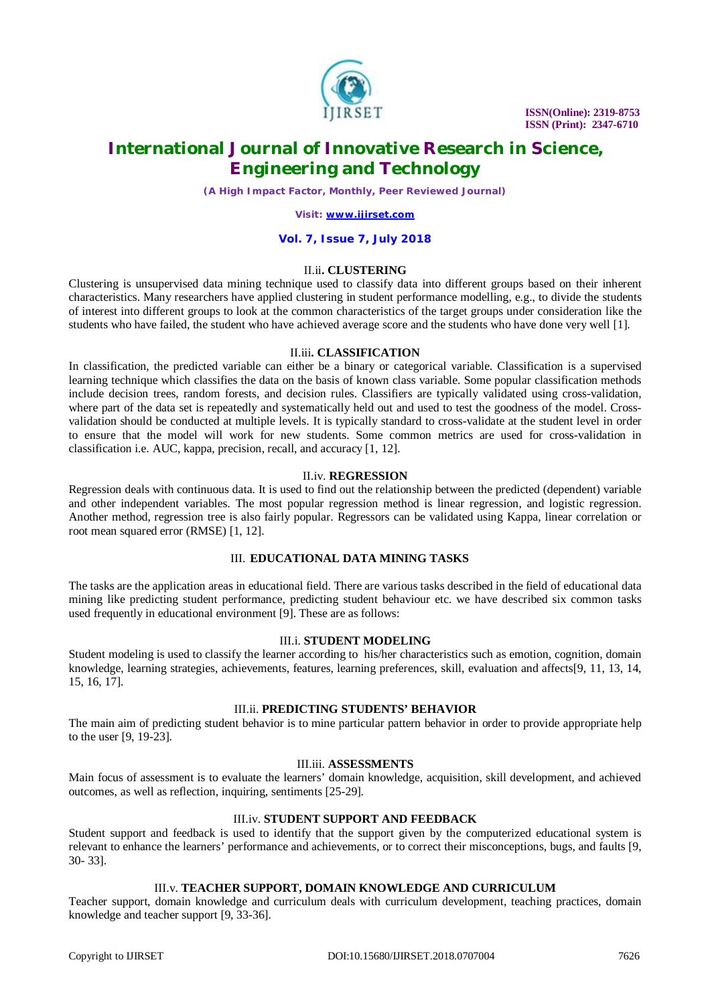

 **ISSN(Online): 2319-8753 ISSN (Print): 2347-6710**

# **International Journal of Innovative Research in Science, Engineering and Technology**

*(A High Impact Factor, Monthly, Peer Reviewed Journal)*

*Visit: [www.ijirset.com](http://www.ijirset.com)*

#### **Vol. 7, Issue 7, July 2018**

# II.ii**. CLUSTERING**

Clustering is unsupervised data mining technique used to classify data into different groups based on their inherent characteristics. Many researchers have applied clustering in student performance modelling, e.g., to divide the students of interest into different groups to look at the common characteristics of the target groups under consideration like the students who have failed, the student who have achieved average score and the students who have done very well [1].

#### II.iii**. CLASSIFICATION**

In classification, the predicted variable can either be a binary or categorical variable. Classification is a supervised learning technique which classifies the data on the basis of known class variable. Some popular classification methods include decision trees, random forests, and decision rules. Classifiers are typically validated using cross-validation, where part of the data set is repeatedly and systematically held out and used to test the goodness of the model. Crossvalidation should be conducted at multiple levels. It is typically standard to cross-validate at the student level in order to ensure that the model will work for new students. Some common metrics are used for cross-validation in classification i.e. AUC, kappa, precision, recall, and accuracy [1, 12].

# II.iv. **REGRESSION**

Regression deals with continuous data. It is used to find out the relationship between the predicted (dependent) variable and other independent variables. The most popular regression method is linear regression, and logistic regression. Another method, regression tree is also fairly popular. Regressors can be validated using Kappa, linear correlation or root mean squared error (RMSE) [1, 12].

#### III. **EDUCATIONAL DATA MINING TASKS**

The tasks are the application areas in educational field. There are various tasks described in the field of educational data mining like predicting student performance, predicting student behaviour etc. we have described six common tasks used frequently in educational environment [9]. These are as follows:

# III.i. **STUDENT MODELING**

Student modeling is used to classify the learner according to his/her characteristics such as emotion, cognition, domain knowledge, learning strategies, achievements, features, learning preferences, skill, evaluation and affects[9, 11, 13, 14, 15, 16, 17].

#### III.ii. **PREDICTING STUDENTS' BEHAVIOR**

The main aim of predicting student behavior is to mine particular pattern behavior in order to provide appropriate help to the user [9, 19-23].

# III.iii. **ASSESSMENTS**

Main focus of assessment is to evaluate the learners' domain knowledge, acquisition, skill development, and achieved outcomes, as well as reflection, inquiring, sentiments [25-29].

# III.iv. **STUDENT SUPPORT AND FEEDBACK**

Student support and feedback is used to identify that the support given by the computerized educational system is relevant to enhance the learners' performance and achievements, or to correct their misconceptions, bugs, and faults [9, 30- 33].

## III.v. **TEACHER SUPPORT, DOMAIN KNOWLEDGE AND CURRICULUM**

Teacher support, domain knowledge and curriculum deals with curriculum development, teaching practices, domain knowledge and teacher support [9, 33-36].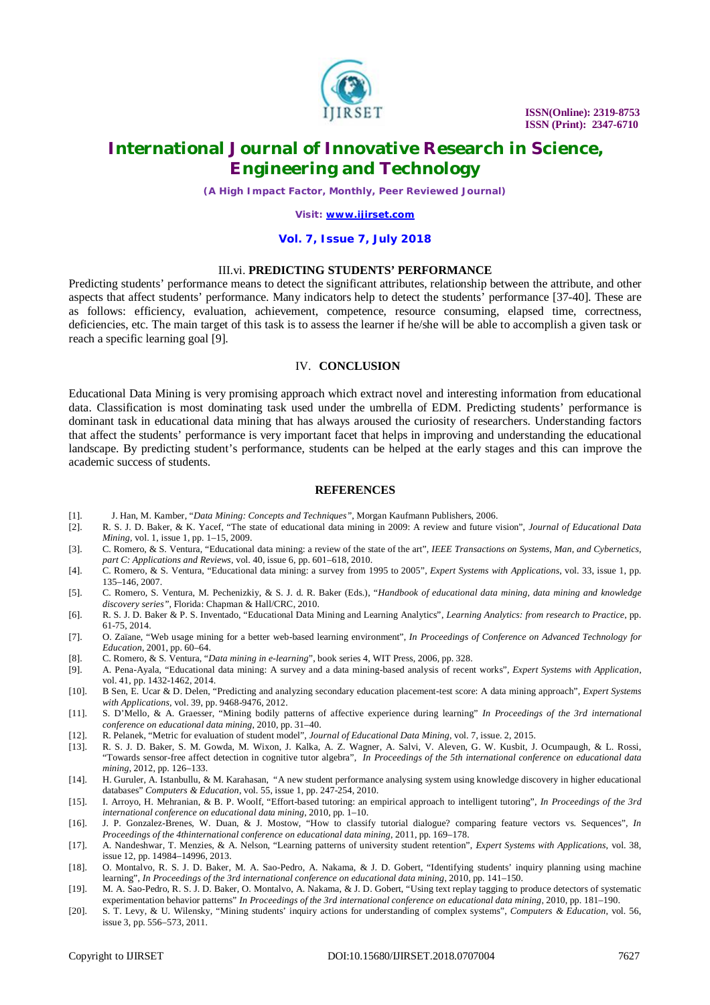

 **ISSN(Online): 2319-8753 ISSN (Print): 2347-6710**

# **International Journal of Innovative Research in Science, Engineering and Technology**

*(A High Impact Factor, Monthly, Peer Reviewed Journal)*

*Visit: [www.ijirset.com](http://www.ijirset.com)*

#### **Vol. 7, Issue 7, July 2018**

# III.vi. **PREDICTING STUDENTS' PERFORMANCE**

Predicting students' performance means to detect the significant attributes, relationship between the attribute, and other aspects that affect students' performance. Many indicators help to detect the students' performance [37-40]. These are as follows: efficiency, evaluation, achievement, competence, resource consuming, elapsed time, correctness, deficiencies, etc. The main target of this task is to assess the learner if he/she will be able to accomplish a given task or reach a specific learning goal [9].

#### IV. **CONCLUSION**

Educational Data Mining is very promising approach which extract novel and interesting information from educational data. Classification is most dominating task used under the umbrella of EDM. Predicting students' performance is dominant task in educational data mining that has always aroused the curiosity of researchers. Understanding factors that affect the students' performance is very important facet that helps in improving and understanding the educational landscape. By predicting student's performance, students can be helped at the early stages and this can improve the academic success of students.

#### **REFERENCES**

- [1]. J. Han, M. Kamber, "*Data Mining: Concepts and Techniques"*, Morgan Kaufmann Publishers, 2006.
- [2]. R. S. J. D. Baker, & K. Yacef, "The state of educational data mining in 2009: A review and future vision", *Journal of Educational Data Mining*, vol. 1, issue 1, pp. 1–15, 2009.
- [3]. C. Romero, & S. Ventura, "Educational data mining: a review of the state of the art", *IEEE Transactions on Systems, Man, and Cybernetics, part C: Applications and Reviews*, vol. 40, issue 6, pp. 601–618, 2010.
- [4]. C. Romero, & S. Ventura, "Educational data mining: a survey from 1995 to 2005", *Expert Systems with Applications*, vol. 33, issue 1, pp. 135–146, 2007.
- [5]. C. Romero, S. Ventura, M. Pechenizkiy, & S. J. d. R. Baker (Eds.), "*Handbook of educational data mining, data mining and knowledge discovery series",* Florida: Chapman & Hall/CRC, 2010.
- [6]. R. S. J. D. Baker & P. S. Inventado, "Educational Data Mining and Learning Analytics", *Learning Analytics: from research to Practice*, pp. 61-75, 2014.
- [7]. O. Zaïane, "Web usage mining for a better web-based learning environment", *In Proceedings of Conference on Advanced Technology for Education*, 2001, pp. 60–64.
- [8]. C. Romero, & S. Ventura, "*Data mining in e-learning*", book series 4, WIT Press, 2006, pp. 328.
- [9]. A. Pena-Ayala, "Educational data mining: A survey and a data mining-based analysis of recent works", *Expert Systems with Application*, vol. 41, pp. 1432-1462, 2014.
- [10]. B Sen, E. Ucar & D. Delen, "Predicting and analyzing secondary education placement-test score: A data mining approach", *Expert Systems with Applications,* vol. 39, pp. 9468-9476, 2012.
- [11]. S. D'Mello, & A. Graesser, "Mining bodily patterns of affective experience during learning" *In Proceedings of the 3rd international conference on educational data mining*, 2010, pp. 31–40.
- [12]. R. Pelanek, "Metric for evaluation of student model", *Journal of Educational Data Mining,* vol. 7, issue. 2, 2015.
- [13]. R. S. J. D. Baker, S. M. Gowda, M. Wixon, J. Kalka, A. Z. Wagner, A. Salvi, V. Aleven, G. W. Kusbit, J. Ocumpaugh, & L. Rossi, "Towards sensor-free affect detection in cognitive tutor algebra", *In Proceedings of the 5th international conference on educational data mining*, 2012, pp. 126–133.
- [14]. H. Guruler, A. Istanbullu, & M. Karahasan, "A new student performance analysing system using knowledge discovery in higher educational databases" *Computers & Education*, vol. 55, issue 1, pp. 247-254, 2010.
- [15]. I. Arroyo, H. Mehranian, & B. P. Woolf, "Effort-based tutoring: an empirical approach to intelligent tutoring", *In Proceedings of the 3rd international conference on educational data mining*, 2010, pp. 1–10.
- [16]. J. P. Gonzalez-Brenes, W. Duan, & J. Mostow, "How to classify tutorial dialogue? comparing feature vectors vs. Sequences", *In Proceedings of the 4thinternational conference on educational data mining*, 2011, pp. 169–178.
- [17]. A. Nandeshwar, T. Menzies, & A. Nelson, "Learning patterns of university student retention", *Expert Systems with Applications*, vol. 38, issue 12, pp. 14984–14996, 2013.
- [18]. O. Montalvo, R. S. J. D. Baker, M. A. Sao-Pedro, A. Nakama, & J. D. Gobert, "Identifying students' inquiry planning using machine learning", *In Proceedings of the 3rd international conference on educational data mining*, 2010, pp. 141–150.
- [19]. M. A. Sao-Pedro, R. S. J. D. Baker, O. Montalvo, A. Nakama, & J. D. Gobert, "Using text replay tagging to produce detectors of systematic experimentation behavior patterns" *In Proceedings of the 3rd international conference on educational data mining*, 2010, pp. 181–190.
- [20]. S. T. Levy, & U. Wilensky, "Mining students' inquiry actions for understanding of complex systems", *Computers & Education*, vol. 56, issue 3, pp. 556–573, 2011.